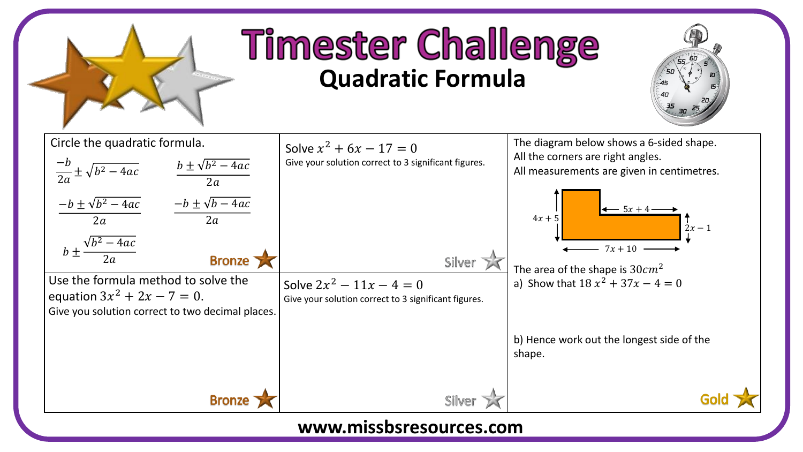

## **Timester Challenge Quadratic Formula**